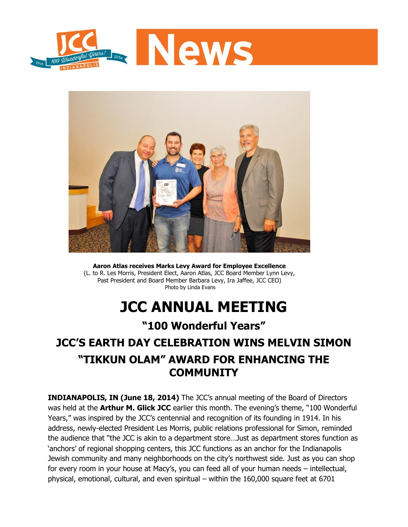



**Aaron Atlas receives Marks Levy Award for Employee Excellence** (L. to R. Les Morris, President Elect, Aaron Atlas, JCC Board Member Lynn Levy, Past President and Board Member Barbara Levy, Ira Jaffee, JCC CEO) Photo by Linda Evans

# **JCC ANNUAL MEETING**

### **"100 Wonderful Years"**

## **JCC'S EARTH DAY CELEBRATION WINS MELVIN SIMON "TIKKUN OLAM" AWARD FOR ENHANCING THE COMMUNITY**

**INDIANAPOLIS, IN (June 18, 2014)** The JCC's annual meeting of the Board of Directors was held at the **Arthur M. Glick JCC** earlier this month. The evening's theme, "100 Wonderful Years," was inspired by the JCC's centennial and recognition of its founding in 1914. In his address, newly-elected President Les Morris, public relations professional for Simon, reminded the audience that "the JCC is akin to a department store…Just as department stores function as 'anchors' of regional shopping centers, this JCC functions as an anchor for the Indianapolis Jewish community and many neighborhoods on the city's northwest side. Just as you can shop for every room in your house at Macy's, you can feed all of your human needs – intellectual, physical, emotional, cultural, and even spiritual – within the 160,000 square feet at 6701